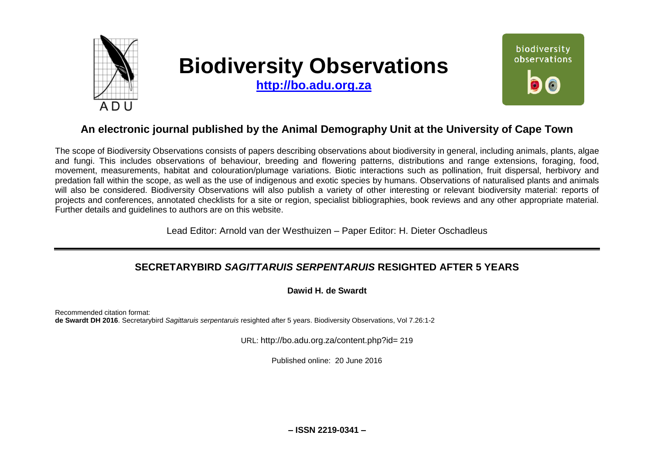

# **Biodiversity Observations**

**[http://bo.adu.org.za](http://bo.adu.org.za/)**



## **An electronic journal published by the Animal Demography Unit at the University of Cape Town**

The scope of Biodiversity Observations consists of papers describing observations about biodiversity in general, including animals, plants, algae and fungi. This includes observations of behaviour, breeding and flowering patterns, distributions and range extensions, foraging, food, movement, measurements, habitat and colouration/plumage variations. Biotic interactions such as pollination, fruit dispersal, herbivory and predation fall within the scope, as well as the use of indigenous and exotic species by humans. Observations of naturalised plants and animals will also be considered. Biodiversity Observations will also publish a variety of other interesting or relevant biodiversity material: reports of projects and conferences, annotated checklists for a site or region, specialist bibliographies, book reviews and any other appropriate material. Further details and guidelines to authors are on this website.

Lead Editor: Arnold van der Westhuizen – Paper Editor: H. Dieter Oschadleus

### **SECRETARYBIRD** *SAGITTARUIS SERPENTARUIS* **RESIGHTED AFTER 5 YEARS**

**Dawid H. de Swardt**

Recommended citation format: **de Swardt DH 2016**. Secretarybird *Sagittaruis serpentaruis* resighted after 5 years. Biodiversity Observations, Vol 7.26:1-2

URL: http://bo.adu.org.za/content.php?id= 219

Published online: 20 June 2016

**– ISSN 2219-0341 –**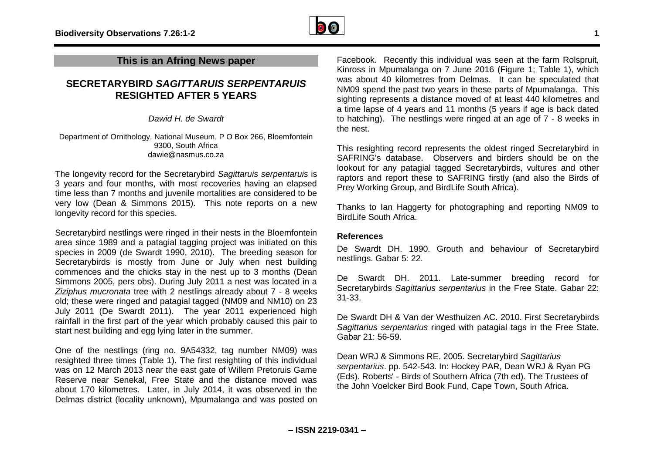

#### **SECRETARYBIRD** *SAGITTARUIS SERPENTARUIS* **RESIGHTED AFTER 5 YEARS**

*Dawid H. de Swardt*

Department of Ornithology, National Museum, P O Box 266, Bloemfontein 9300, South Africa dawie@nasmus.co.za

The longevity record for the Secretarybird *Sagittaruis serpentaruis* is 3 years and four months, with most recoveries having an elapsed time less than 7 months and juvenile mortalities are considered to be very low (Dean & Simmons 2015). This note reports on a new longevity record for this species.

Secretarybird nestlings were ringed in their nests in the Bloemfontein area since 1989 and a patagial tagging project was initiated on this species in 2009 (de Swardt 1990, 2010). The breeding season for Secretarybirds is mostly from June or July when nest building commences and the chicks stay in the nest up to 3 months (Dean Simmons 2005, pers obs). During July 2011 a nest was located in a *Ziziphus mucronata* tree with 2 nestlings already about 7 - 8 weeks old; these were ringed and patagial tagged (NM09 and NM10) on 23 July 2011 (De Swardt 2011). The year 2011 experienced high rainfall in the first part of the year which probably caused this pair to start nest building and egg lying later in the summer.

One of the nestlings (ring no. 9A54332, tag number NM09) was resighted three times (Table 1). The first resighting of this individual was on 12 March 2013 near the east gate of Willem Pretoruis Game Reserve near Senekal, Free State and the distance moved was about 170 kilometres. Later, in July 2014, it was observed in the Delmas district (locality unknown), Mpumalanga and was posted on

Facebook. Recently this individual was seen at the farm Rolspruit, Kinross in Mpumalanga on 7 June 2016 (Figure 1; Table 1), which was about 40 kilometres from Delmas. It can be speculated that NM09 spend the past two years in these parts of Mpumalanga. This sighting represents a distance moved of at least 440 kilometres and a time lapse of 4 years and 11 months (5 years if age is back dated to hatching). The nestlings were ringed at an age of 7 - 8 weeks in the nest.

This resighting record represents the oldest ringed Secretarybird in SAFRING's database. Observers and birders should be on the lookout for any patagial tagged Secretarybirds, vultures and other raptors and report these to SAFRING firstly (and also the Birds of Prey Working Group, and BirdLife South Africa).

Thanks to Ian Haggerty for photographing and reporting NM09 to BirdLife South Africa.

#### **References**

De Swardt DH. 1990. Grouth and behaviour of Secretarybird nestlings. Gabar 5: 22.

De Swardt DH. 2011. Late-summer breeding record for Secretarybirds *Sagittarius serpentarius* in the Free State. Gabar 22: 31-33.

De Swardt DH & Van der Westhuizen AC. 2010. First Secretarybirds *Sagittarius serpentarius* ringed with patagial tags in the Free State. Gabar 21: 56-59.

Dean WRJ & Simmons RE. 2005. Secretarybird *Sagittarius serpentarius*. pp. 542-543. In: Hockey PAR, Dean WRJ & Ryan PG (Eds). Roberts' - Birds of Southern Africa (7th ed). The Trustees of the John Voelcker Bird Book Fund, Cape Town, South Africa.